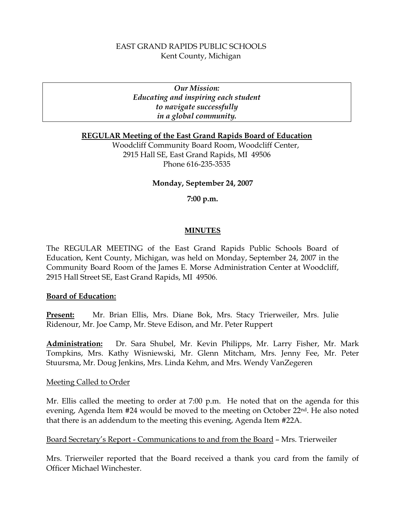# EAST GRAND RAPIDS PUBLIC SCHOOLS Kent County, Michigan

*Our Mission: Educating and inspiring each student to navigate successfully in a global community.* 

### **REGULAR Meeting of the East Grand Rapids Board of Education**

Woodcliff Community Board Room, Woodcliff Center, 2915 Hall SE, East Grand Rapids, MI 49506 Phone 616-235-3535

#### **Monday, September 24, 2007**

#### **7:00 p.m.**

#### **MINUTES**

The REGULAR MEETING of the East Grand Rapids Public Schools Board of Education, Kent County, Michigan, was held on Monday, September 24, 2007 in the Community Board Room of the James E. Morse Administration Center at Woodcliff, 2915 Hall Street SE, East Grand Rapids, MI 49506.

#### **Board of Education:**

**Present:** Mr. Brian Ellis, Mrs. Diane Bok, Mrs. Stacy Trierweiler, Mrs. Julie Ridenour, Mr. Joe Camp, Mr. Steve Edison, and Mr. Peter Ruppert

**Administration:** Dr. Sara Shubel, Mr. Kevin Philipps, Mr. Larry Fisher, Mr. Mark Tompkins, Mrs. Kathy Wisniewski, Mr. Glenn Mitcham, Mrs. Jenny Fee, Mr. Peter Stuursma, Mr. Doug Jenkins, Mrs. Linda Kehm, and Mrs. Wendy VanZegeren

#### Meeting Called to Order

Mr. Ellis called the meeting to order at 7:00 p.m. He noted that on the agenda for this evening, Agenda Item #24 would be moved to the meeting on October 22nd. He also noted that there is an addendum to the meeting this evening, Agenda Item #22A.

#### Board Secretary's Report - Communications to and from the Board – Mrs. Trierweiler

Mrs. Trierweiler reported that the Board received a thank you card from the family of Officer Michael Winchester.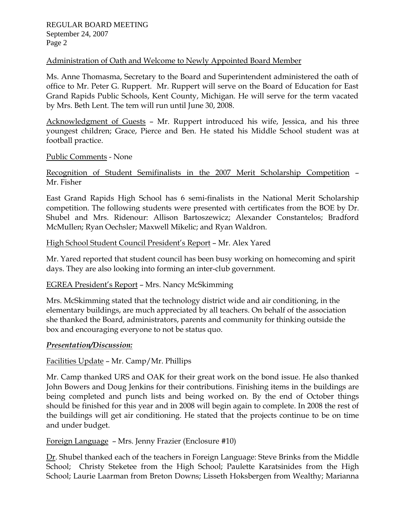## Administration of Oath and Welcome to Newly Appointed Board Member

Ms. Anne Thomasma, Secretary to the Board and Superintendent administered the oath of office to Mr. Peter G. Ruppert. Mr. Ruppert will serve on the Board of Education for East Grand Rapids Public Schools, Kent County, Michigan. He will serve for the term vacated by Mrs. Beth Lent. The tem will run until June 30, 2008.

Acknowledgment of Guests – Mr. Ruppert introduced his wife, Jessica, and his three youngest children; Grace, Pierce and Ben. He stated his Middle School student was at football practice.

### Public Comments - None

# Recognition of Student Semifinalists in the 2007 Merit Scholarship Competition – Mr. Fisher

East Grand Rapids High School has 6 semi-finalists in the National Merit Scholarship competition. The following students were presented with certificates from the BOE by Dr. Shubel and Mrs. Ridenour: Allison Bartoszewicz; Alexander Constantelos; Bradford McMullen; Ryan Oechsler; Maxwell Mikelic; and Ryan Waldron.

# High School Student Council President's Report – Mr. Alex Yared

Mr. Yared reported that student council has been busy working on homecoming and spirit days. They are also looking into forming an inter-club government.

# EGREA President's Report – Mrs. Nancy McSkimming

Mrs. McSkimming stated that the technology district wide and air conditioning, in the elementary buildings, are much appreciated by all teachers. On behalf of the association she thanked the Board, administrators, parents and community for thinking outside the box and encouraging everyone to not be status quo.

### *Presentation/Discussion:*

# Facilities Update – Mr. Camp/Mr. Phillips

Mr. Camp thanked URS and OAK for their great work on the bond issue. He also thanked John Bowers and Doug Jenkins for their contributions. Finishing items in the buildings are being completed and punch lists and being worked on. By the end of October things should be finished for this year and in 2008 will begin again to complete. In 2008 the rest of the buildings will get air conditioning. He stated that the projects continue to be on time and under budget.

### Foreign Language – Mrs. Jenny Frazier (Enclosure #10)

Dr. Shubel thanked each of the teachers in Foreign Language: Steve Brinks from the Middle School; Christy Steketee from the High School; Paulette Karatsinides from the High School; Laurie Laarman from Breton Downs; Lisseth Hoksbergen from Wealthy; Marianna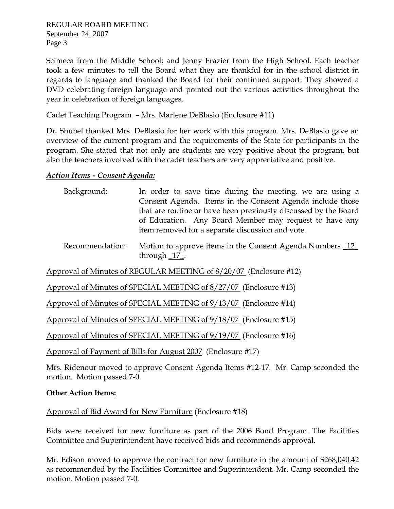Scimeca from the Middle School; and Jenny Frazier from the High School. Each teacher took a few minutes to tell the Board what they are thankful for in the school district in regards to language and thanked the Board for their continued support. They showed a DVD celebrating foreign language and pointed out the various activities throughout the year in celebration of foreign languages.

## Cadet Teaching Program – Mrs. Marlene DeBlasio (Enclosure #11)

Dr*.* Shubel thanked Mrs. DeBlasio for her work with this program. Mrs. DeBlasio gave an overview of the current program and the requirements of the State for participants in the program. She stated that not only are students are very positive about the program, but also the teachers involved with the cadet teachers are very appreciative and positive.

### *Action Items - Consent Agenda:*

| Background: | In order to save time during the meeting, we are using a        |
|-------------|-----------------------------------------------------------------|
|             | Consent Agenda. Items in the Consent Agenda include those       |
|             | that are routine or have been previously discussed by the Board |
|             | of Education. Any Board Member may request to have any          |
|             | item removed for a separate discussion and vote.                |
|             |                                                                 |

 Recommendation: Motion to approve items in the Consent Agenda Numbers \_12\_ through \_17\_.

Approval of Minutes of REGULAR MEETING of 8/20/07 (Enclosure #12)

Approval of Minutes of SPECIAL MEETING of 8/27/07 (Enclosure #13)

Approval of Minutes of SPECIAL MEETING of 9/13/07 (Enclosure #14)

Approval of Minutes of SPECIAL MEETING of 9/18/07 (Enclosure #15)

Approval of Minutes of SPECIAL MEETING of 9/19/07 (Enclosure #16)

Approval of Payment of Bills for August 2007 (Enclosure #17)

Mrs. Ridenour moved to approve Consent Agenda Items #12-17. Mr. Camp seconded the motion. Motion passed 7-0.

### **Other Action Items:**

Approval of Bid Award for New Furniture (Enclosure #18)

Bids were received for new furniture as part of the 2006 Bond Program. The Facilities Committee and Superintendent have received bids and recommends approval.

Mr. Edison moved to approve the contract for new furniture in the amount of \$268,040.42 as recommended by the Facilities Committee and Superintendent. Mr. Camp seconded the motion. Motion passed 7-0.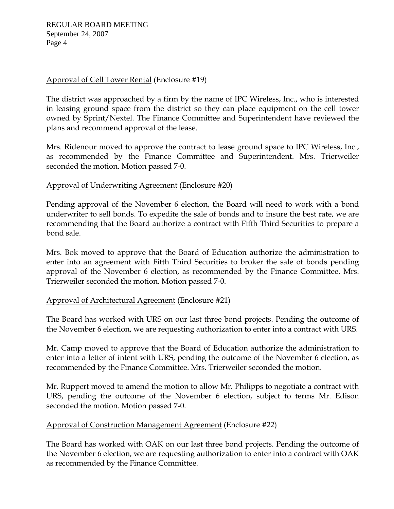# Approval of Cell Tower Rental (Enclosure #19)

The district was approached by a firm by the name of IPC Wireless, Inc., who is interested in leasing ground space from the district so they can place equipment on the cell tower owned by Sprint/Nextel. The Finance Committee and Superintendent have reviewed the plans and recommend approval of the lease.

Mrs. Ridenour moved to approve the contract to lease ground space to IPC Wireless, Inc., as recommended by the Finance Committee and Superintendent. Mrs. Trierweiler seconded the motion. Motion passed 7-0.

# Approval of Underwriting Agreement (Enclosure #20)

Pending approval of the November 6 election, the Board will need to work with a bond underwriter to sell bonds. To expedite the sale of bonds and to insure the best rate, we are recommending that the Board authorize a contract with Fifth Third Securities to prepare a bond sale.

Mrs. Bok moved to approve that the Board of Education authorize the administration to enter into an agreement with Fifth Third Securities to broker the sale of bonds pending approval of the November 6 election, as recommended by the Finance Committee. Mrs. Trierweiler seconded the motion. Motion passed 7-0.

### Approval of Architectural Agreement (Enclosure #21)

The Board has worked with URS on our last three bond projects. Pending the outcome of the November 6 election, we are requesting authorization to enter into a contract with URS.

Mr. Camp moved to approve that the Board of Education authorize the administration to enter into a letter of intent with URS, pending the outcome of the November 6 election, as recommended by the Finance Committee. Mrs. Trierweiler seconded the motion.

Mr. Ruppert moved to amend the motion to allow Mr. Philipps to negotiate a contract with URS, pending the outcome of the November 6 election, subject to terms Mr. Edison seconded the motion. Motion passed 7-0.

### Approval of Construction Management Agreement (Enclosure #22)

The Board has worked with OAK on our last three bond projects. Pending the outcome of the November 6 election, we are requesting authorization to enter into a contract with OAK as recommended by the Finance Committee.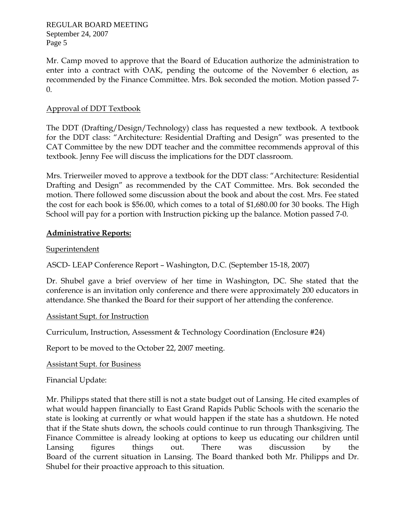REGULAR BOARD MEETING September 24, 2007 Page 5

Mr. Camp moved to approve that the Board of Education authorize the administration to enter into a contract with OAK, pending the outcome of the November 6 election, as recommended by the Finance Committee. Mrs. Bok seconded the motion. Motion passed 7- 0.

## Approval of DDT Textbook

The DDT (Drafting/Design/Technology) class has requested a new textbook. A textbook for the DDT class: "Architecture: Residential Drafting and Design" was presented to the CAT Committee by the new DDT teacher and the committee recommends approval of this textbook. Jenny Fee will discuss the implications for the DDT classroom.

Mrs. Trierweiler moved to approve a textbook for the DDT class: "Architecture: Residential Drafting and Design" as recommended by the CAT Committee. Mrs. Bok seconded the motion. There followed some discussion about the book and about the cost. Mrs. Fee stated the cost for each book is \$56.00, which comes to a total of \$1,680.00 for 30 books. The High School will pay for a portion with Instruction picking up the balance. Motion passed 7-0.

### **Administrative Reports:**

### **Superintendent**

ASCD- LEAP Conference Report – Washington, D.C. (September 15-18, 2007)

Dr. Shubel gave a brief overview of her time in Washington, DC. She stated that the conference is an invitation only conference and there were approximately 200 educators in attendance. She thanked the Board for their support of her attending the conference.

### Assistant Supt. for Instruction

Curriculum, Instruction, Assessment & Technology Coordination (Enclosure #24)

Report to be moved to the October 22, 2007 meeting.

Assistant Supt. for Business

Financial Update:

Mr. Philipps stated that there still is not a state budget out of Lansing. He cited examples of what would happen financially to East Grand Rapids Public Schools with the scenario the state is looking at currently or what would happen if the state has a shutdown. He noted that if the State shuts down, the schools could continue to run through Thanksgiving. The Finance Committee is already looking at options to keep us educating our children until Lansing figures things out. There was discussion by the Board of the current situation in Lansing. The Board thanked both Mr. Philipps and Dr. Shubel for their proactive approach to this situation.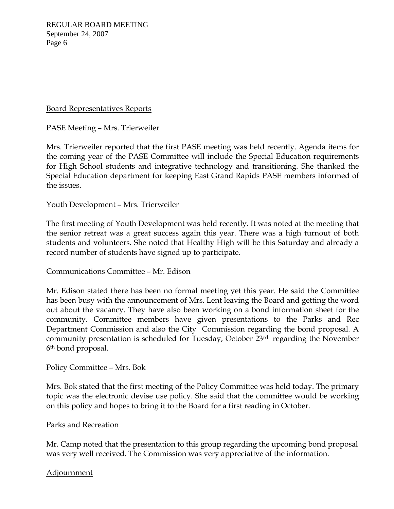REGULAR BOARD MEETING September 24, 2007 Page 6

#### Board Representatives Reports

PASE Meeting – Mrs. Trierweiler

Mrs. Trierweiler reported that the first PASE meeting was held recently. Agenda items for the coming year of the PASE Committee will include the Special Education requirements for High School students and integrative technology and transitioning. She thanked the Special Education department for keeping East Grand Rapids PASE members informed of the issues.

Youth Development – Mrs. Trierweiler

The first meeting of Youth Development was held recently. It was noted at the meeting that the senior retreat was a great success again this year. There was a high turnout of both students and volunteers. She noted that Healthy High will be this Saturday and already a record number of students have signed up to participate.

Communications Committee – Mr. Edison

Mr. Edison stated there has been no formal meeting yet this year. He said the Committee has been busy with the announcement of Mrs. Lent leaving the Board and getting the word out about the vacancy. They have also been working on a bond information sheet for the community. Committee members have given presentations to the Parks and Rec Department Commission and also the City Commission regarding the bond proposal. A community presentation is scheduled for Tuesday, October 23rd regarding the November 6th bond proposal.

Policy Committee – Mrs. Bok

Mrs. Bok stated that the first meeting of the Policy Committee was held today. The primary topic was the electronic devise use policy. She said that the committee would be working on this policy and hopes to bring it to the Board for a first reading in October.

Parks and Recreation

Mr. Camp noted that the presentation to this group regarding the upcoming bond proposal was very well received. The Commission was very appreciative of the information.

Adjournment